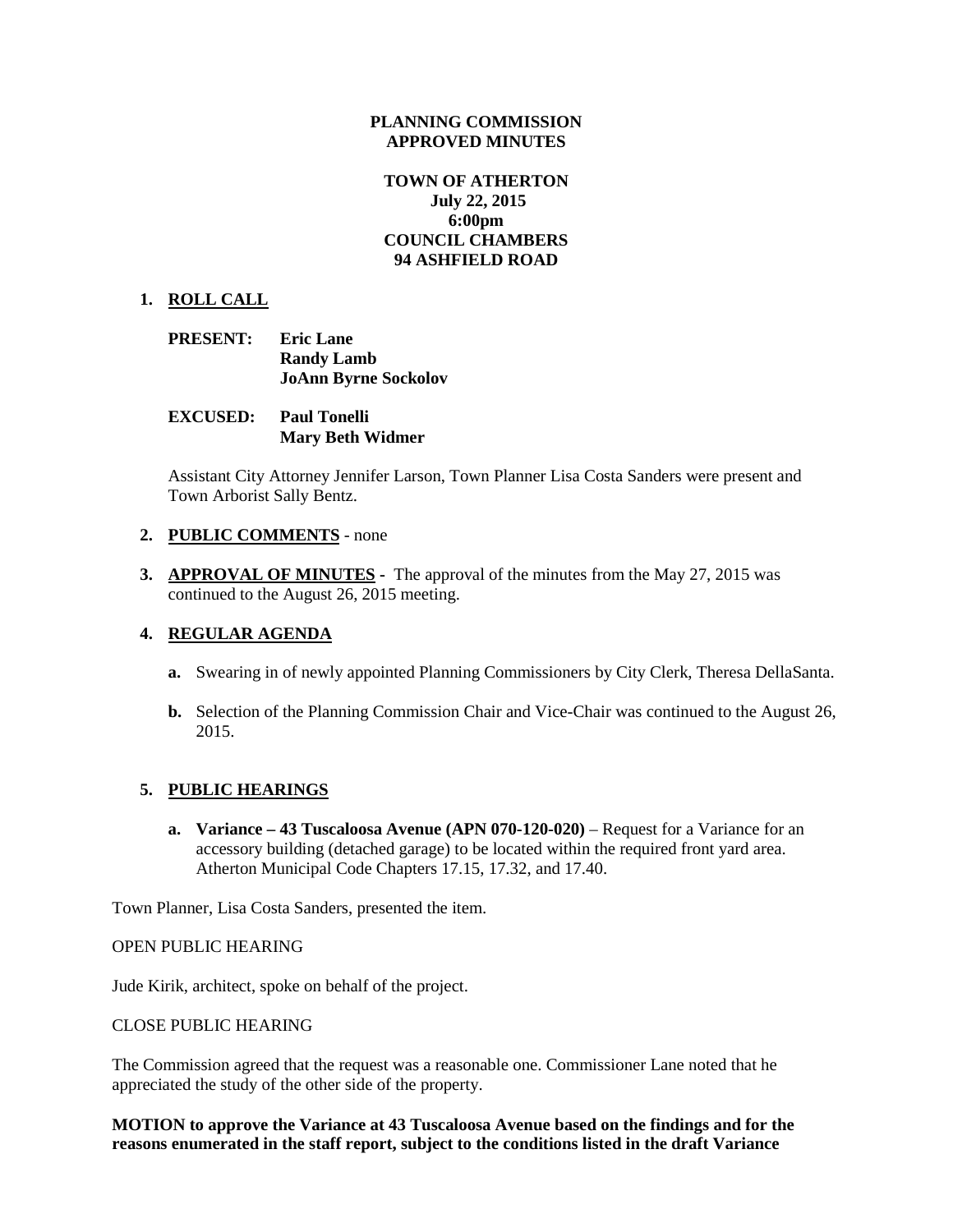#### **PLANNING COMMISSION APPROVED MINUTES**

# **TOWN OF ATHERTON July 22, 2015 6:00pm COUNCIL CHAMBERS 94 ASHFIELD ROAD**

# **1. ROLL CALL**

- **PRESENT: Eric Lane Randy Lamb JoAnn Byrne Sockolov**
- **EXCUSED: Paul Tonelli Mary Beth Widmer**

Assistant City Attorney Jennifer Larson, Town Planner Lisa Costa Sanders were present and Town Arborist Sally Bentz.

## **2. PUBLIC COMMENTS** - none

**3. APPROVAL OF MINUTES -** The approval of the minutes from the May 27, 2015 was continued to the August 26, 2015 meeting.

## **4. REGULAR AGENDA**

- **a.** Swearing in of newly appointed Planning Commissioners by City Clerk, Theresa DellaSanta.
- **b.** Selection of the Planning Commission Chair and Vice-Chair was continued to the August 26, 2015.

## **5. PUBLIC HEARINGS**

**a. Variance – 43 Tuscaloosa Avenue (APN 070-120-020)** – Request for a Variance for an accessory building (detached garage) to be located within the required front yard area. Atherton Municipal Code Chapters 17.15, 17.32, and 17.40.

Town Planner, Lisa Costa Sanders, presented the item.

#### OPEN PUBLIC HEARING

Jude Kirik, architect, spoke on behalf of the project.

#### CLOSE PUBLIC HEARING

The Commission agreed that the request was a reasonable one. Commissioner Lane noted that he appreciated the study of the other side of the property.

**MOTION to approve the Variance at 43 Tuscaloosa Avenue based on the findings and for the reasons enumerated in the staff report, subject to the conditions listed in the draft Variance**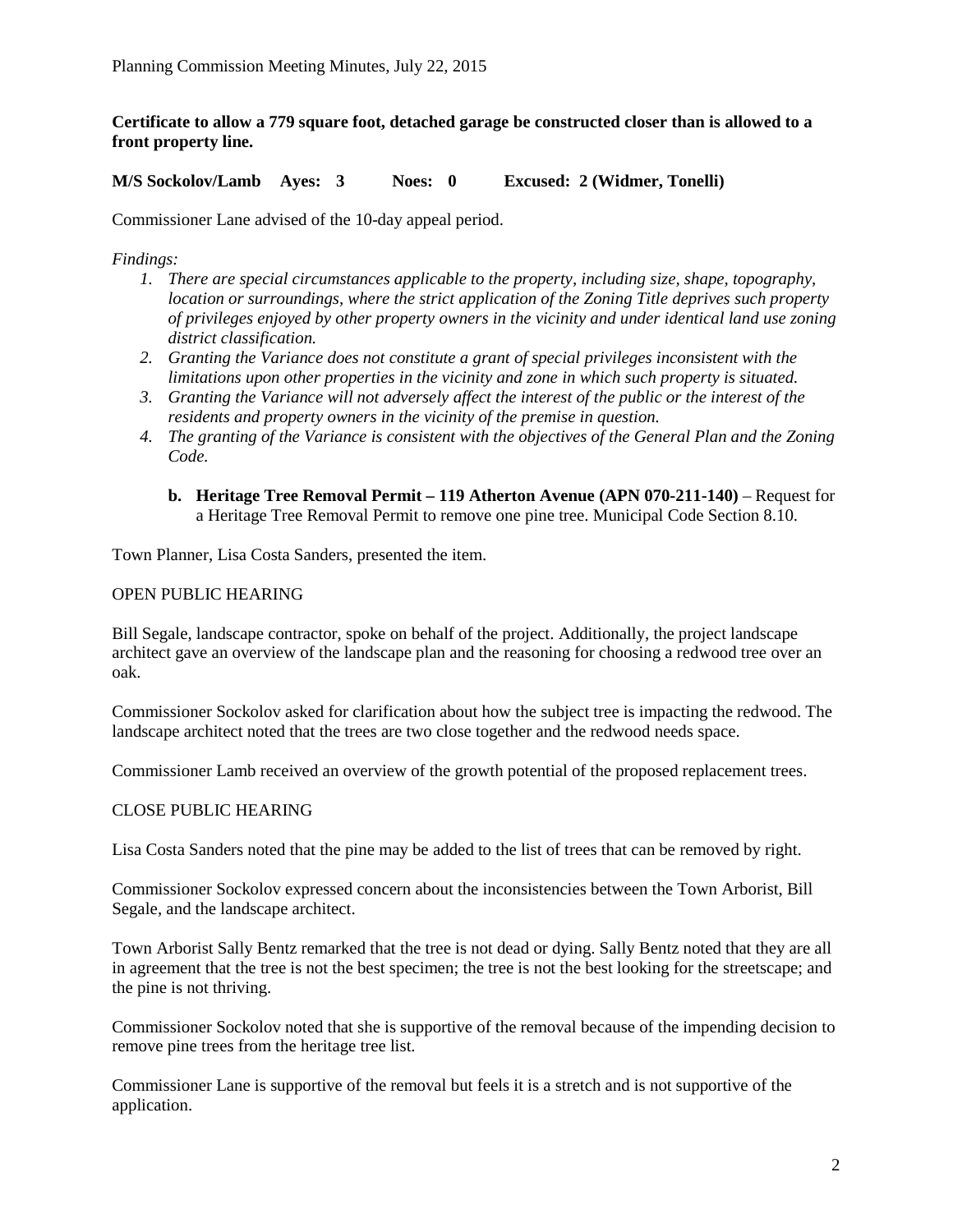**Certificate to allow a 779 square foot, detached garage be constructed closer than is allowed to a front property line.**

**M/S Sockolov/Lamb Ayes: 3 Noes: 0 Excused: 2 (Widmer, Tonelli)**

Commissioner Lane advised of the 10-day appeal period.

*Findings:*

- *1. There are special circumstances applicable to the property, including size, shape, topography, location or surroundings, where the strict application of the Zoning Title deprives such property of privileges enjoyed by other property owners in the vicinity and under identical land use zoning district classification.*
- *2. Granting the Variance does not constitute a grant of special privileges inconsistent with the limitations upon other properties in the vicinity and zone in which such property is situated.*
- *3. Granting the Variance will not adversely affect the interest of the public or the interest of the residents and property owners in the vicinity of the premise in question.*
- *4. The granting of the Variance is consistent with the objectives of the General Plan and the Zoning Code.*
	- **b. Heritage Tree Removal Permit – 119 Atherton Avenue (APN 070-211-140)**  Request for a Heritage Tree Removal Permit to remove one pine tree. Municipal Code Section 8.10.

Town Planner, Lisa Costa Sanders, presented the item.

#### OPEN PUBLIC HEARING

Bill Segale, landscape contractor, spoke on behalf of the project. Additionally, the project landscape architect gave an overview of the landscape plan and the reasoning for choosing a redwood tree over an oak.

Commissioner Sockolov asked for clarification about how the subject tree is impacting the redwood. The landscape architect noted that the trees are two close together and the redwood needs space.

Commissioner Lamb received an overview of the growth potential of the proposed replacement trees.

#### CLOSE PUBLIC HEARING

Lisa Costa Sanders noted that the pine may be added to the list of trees that can be removed by right.

Commissioner Sockolov expressed concern about the inconsistencies between the Town Arborist, Bill Segale, and the landscape architect.

Town Arborist Sally Bentz remarked that the tree is not dead or dying. Sally Bentz noted that they are all in agreement that the tree is not the best specimen; the tree is not the best looking for the streetscape; and the pine is not thriving.

Commissioner Sockolov noted that she is supportive of the removal because of the impending decision to remove pine trees from the heritage tree list.

Commissioner Lane is supportive of the removal but feels it is a stretch and is not supportive of the application.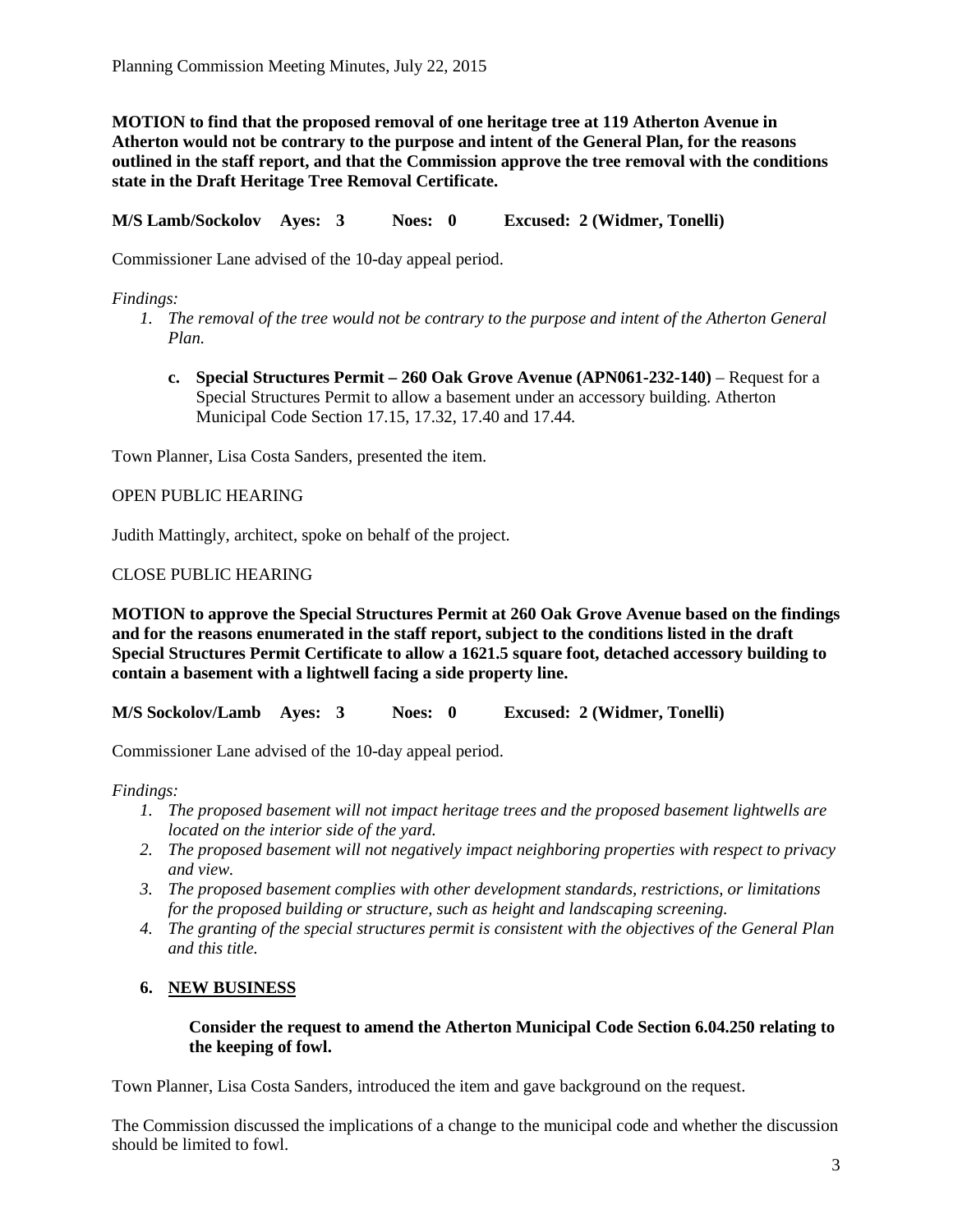**MOTION to find that the proposed removal of one heritage tree at 119 Atherton Avenue in Atherton would not be contrary to the purpose and intent of the General Plan, for the reasons outlined in the staff report, and that the Commission approve the tree removal with the conditions state in the Draft Heritage Tree Removal Certificate.**

**M/S Lamb/Sockolov Ayes: 3 Noes: 0 Excused: 2 (Widmer, Tonelli)**

Commissioner Lane advised of the 10-day appeal period.

# *Findings:*

- *1. The removal of the tree would not be contrary to the purpose and intent of the Atherton General Plan.*
	- **c. Special Structures Permit – 260 Oak Grove Avenue (APN061-232-140)**  Request for a Special Structures Permit to allow a basement under an accessory building. Atherton Municipal Code Section 17.15, 17.32, 17.40 and 17.44.

Town Planner, Lisa Costa Sanders, presented the item.

## OPEN PUBLIC HEARING

Judith Mattingly, architect, spoke on behalf of the project.

# CLOSE PUBLIC HEARING

**MOTION to approve the Special Structures Permit at 260 Oak Grove Avenue based on the findings and for the reasons enumerated in the staff report, subject to the conditions listed in the draft Special Structures Permit Certificate to allow a 1621.5 square foot, detached accessory building to contain a basement with a lightwell facing a side property line.**

**M/S Sockolov/Lamb Ayes: 3 Noes: 0 Excused: 2 (Widmer, Tonelli)**

Commissioner Lane advised of the 10-day appeal period.

## *Findings:*

- *1. The proposed basement will not impact heritage trees and the proposed basement lightwells are located on the interior side of the yard.*
- *2. The proposed basement will not negatively impact neighboring properties with respect to privacy and view.*
- *3. The proposed basement complies with other development standards, restrictions, or limitations for the proposed building or structure, such as height and landscaping screening.*
- *4. The granting of the special structures permit is consistent with the objectives of the General Plan and this title.*

# **6. NEW BUSINESS**

## **Consider the request to amend the Atherton Municipal Code Section 6.04.250 relating to the keeping of fowl.**

Town Planner, Lisa Costa Sanders, introduced the item and gave background on the request.

The Commission discussed the implications of a change to the municipal code and whether the discussion should be limited to fowl.